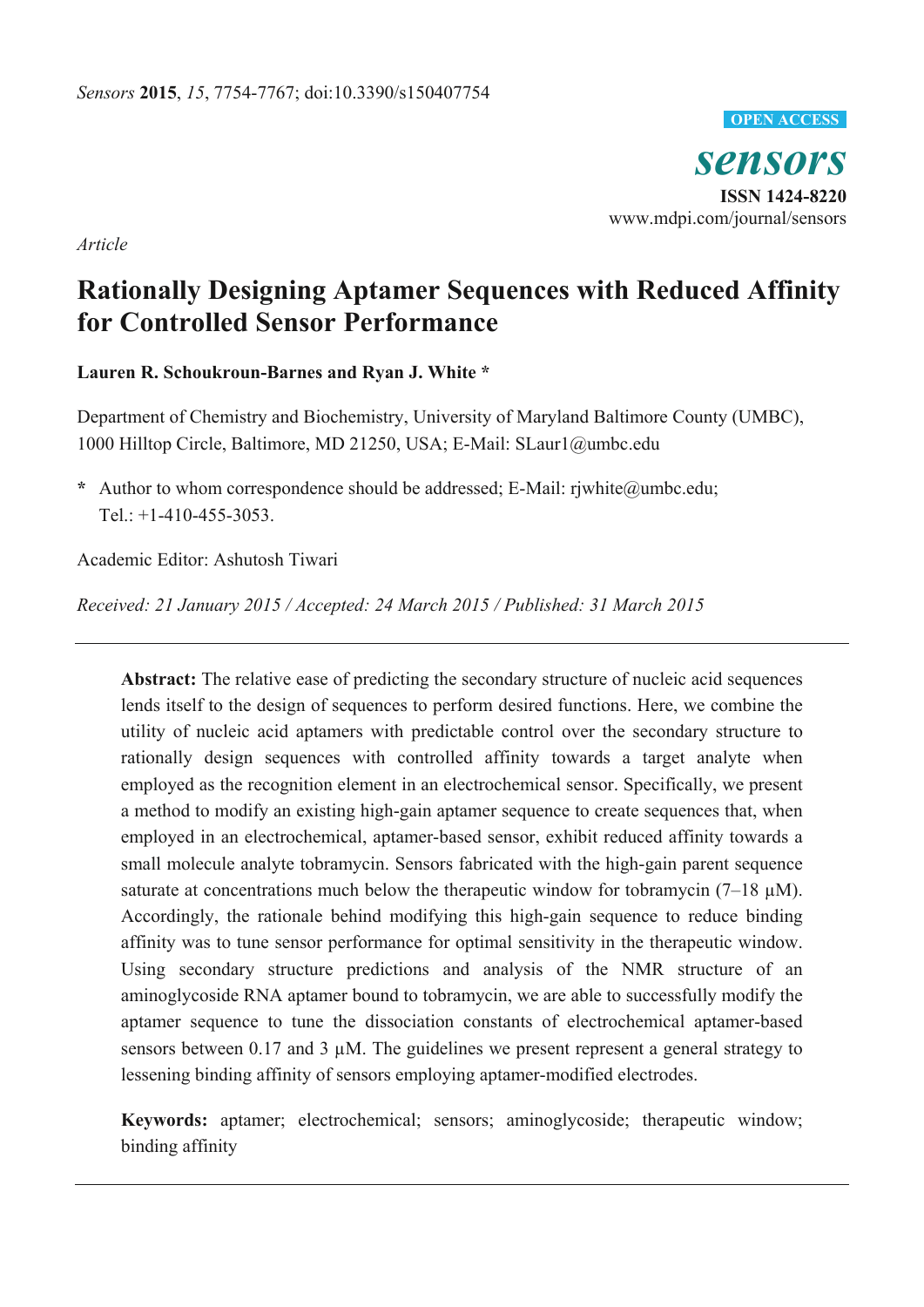

*sensors*  **ISSN 1424-8220**  www.mdpi.com/journal/sensors

*Article* 

# **Rationally Designing Aptamer Sequences with Reduced Affinity for Controlled Sensor Performance**

**Lauren R. Schoukroun-Barnes and Ryan J. White \*** 

Department of Chemistry and Biochemistry, University of Maryland Baltimore County (UMBC), 1000 Hilltop Circle, Baltimore, MD 21250, USA; E-Mail: SLaur1@umbc.edu

**\*** Author to whom correspondence should be addressed; E-Mail: rjwhite@umbc.edu; Tel.:  $+1-410-455-3053$ .

Academic Editor: Ashutosh Tiwari

*Received: 21 January 2015 / Accepted: 24 March 2015 / Published: 31 March 2015* 

Abstract: The relative ease of predicting the secondary structure of nucleic acid sequences lends itself to the design of sequences to perform desired functions. Here, we combine the utility of nucleic acid aptamers with predictable control over the secondary structure to rationally design sequences with controlled affinity towards a target analyte when employed as the recognition element in an electrochemical sensor. Specifically, we present a method to modify an existing high-gain aptamer sequence to create sequences that, when employed in an electrochemical, aptamer-based sensor, exhibit reduced affinity towards a small molecule analyte tobramycin. Sensors fabricated with the high-gain parent sequence saturate at concentrations much below the therapeutic window for tobramycin  $(7-18 \mu M)$ . Accordingly, the rationale behind modifying this high-gain sequence to reduce binding affinity was to tune sensor performance for optimal sensitivity in the therapeutic window. Using secondary structure predictions and analysis of the NMR structure of an aminoglycoside RNA aptamer bound to tobramycin, we are able to successfully modify the aptamer sequence to tune the dissociation constants of electrochemical aptamer-based sensors between 0.17 and 3  $\mu$ M. The guidelines we present represent a general strategy to lessening binding affinity of sensors employing aptamer-modified electrodes.

**Keywords:** aptamer; electrochemical; sensors; aminoglycoside; therapeutic window; binding affinity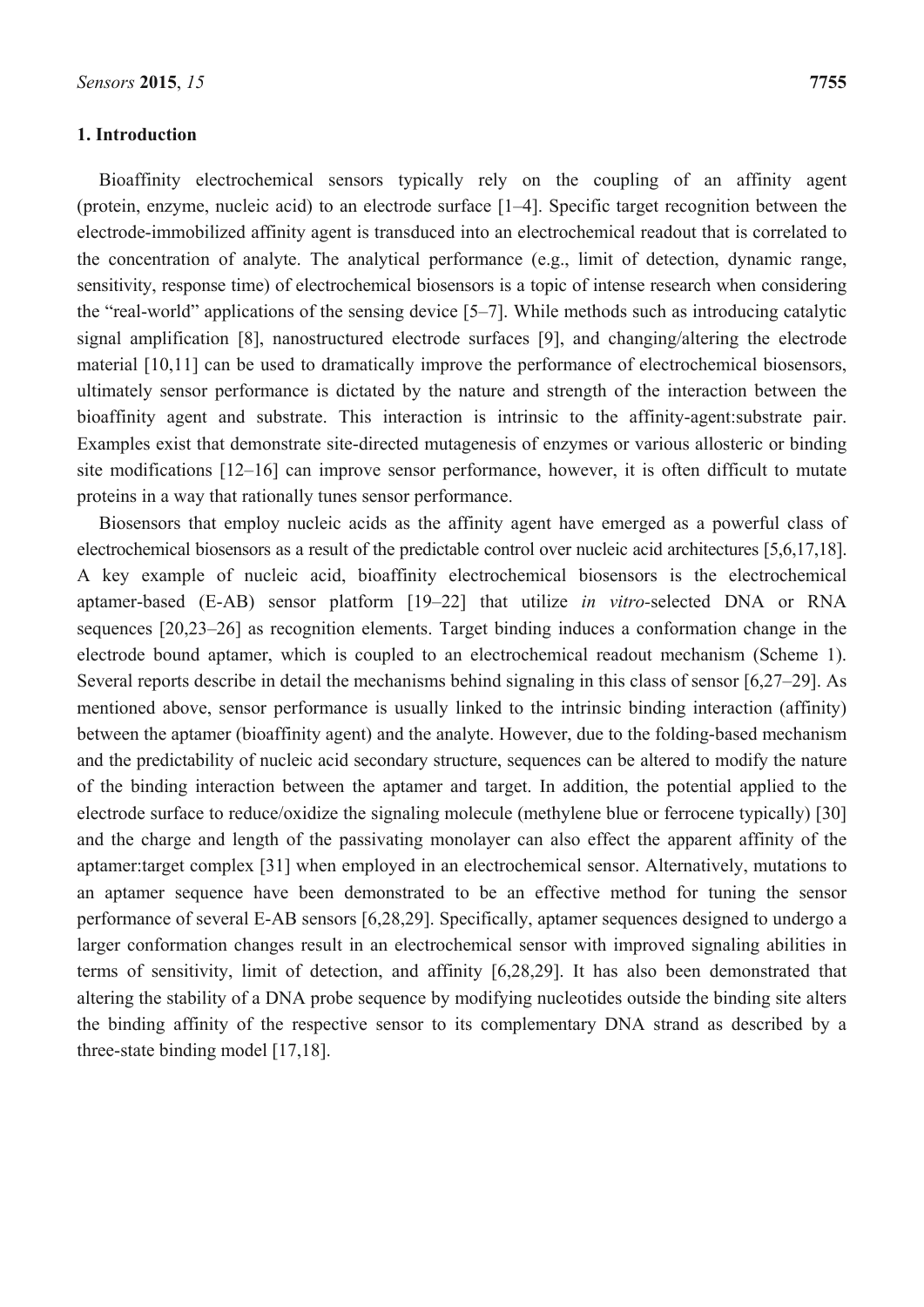#### **1. Introduction**

Bioaffinity electrochemical sensors typically rely on the coupling of an affinity agent (protein, enzyme, nucleic acid) to an electrode surface [1–4]. Specific target recognition between the electrode-immobilized affinity agent is transduced into an electrochemical readout that is correlated to the concentration of analyte. The analytical performance (e.g., limit of detection, dynamic range, sensitivity, response time) of electrochemical biosensors is a topic of intense research when considering the "real-world" applications of the sensing device [5–7]. While methods such as introducing catalytic signal amplification [8], nanostructured electrode surfaces [9], and changing/altering the electrode material [10,11] can be used to dramatically improve the performance of electrochemical biosensors, ultimately sensor performance is dictated by the nature and strength of the interaction between the bioaffinity agent and substrate. This interaction is intrinsic to the affinity-agent:substrate pair. Examples exist that demonstrate site-directed mutagenesis of enzymes or various allosteric or binding site modifications [12–16] can improve sensor performance, however, it is often difficult to mutate proteins in a way that rationally tunes sensor performance.

Biosensors that employ nucleic acids as the affinity agent have emerged as a powerful class of electrochemical biosensors as a result of the predictable control over nucleic acid architectures [5,6,17,18]. A key example of nucleic acid, bioaffinity electrochemical biosensors is the electrochemical aptamer-based (E-AB) sensor platform [19–22] that utilize *in vitro-*selected DNA or RNA sequences [20,23–26] as recognition elements. Target binding induces a conformation change in the electrode bound aptamer, which is coupled to an electrochemical readout mechanism (Scheme 1). Several reports describe in detail the mechanisms behind signaling in this class of sensor [6,27–29]. As mentioned above, sensor performance is usually linked to the intrinsic binding interaction (affinity) between the aptamer (bioaffinity agent) and the analyte. However, due to the folding-based mechanism and the predictability of nucleic acid secondary structure, sequences can be altered to modify the nature of the binding interaction between the aptamer and target. In addition, the potential applied to the electrode surface to reduce/oxidize the signaling molecule (methylene blue or ferrocene typically) [30] and the charge and length of the passivating monolayer can also effect the apparent affinity of the aptamer:target complex [31] when employed in an electrochemical sensor. Alternatively, mutations to an aptamer sequence have been demonstrated to be an effective method for tuning the sensor performance of several E-AB sensors [6,28,29]. Specifically, aptamer sequences designed to undergo a larger conformation changes result in an electrochemical sensor with improved signaling abilities in terms of sensitivity, limit of detection, and affinity [6,28,29]. It has also been demonstrated that altering the stability of a DNA probe sequence by modifying nucleotides outside the binding site alters the binding affinity of the respective sensor to its complementary DNA strand as described by a three-state binding model [17,18].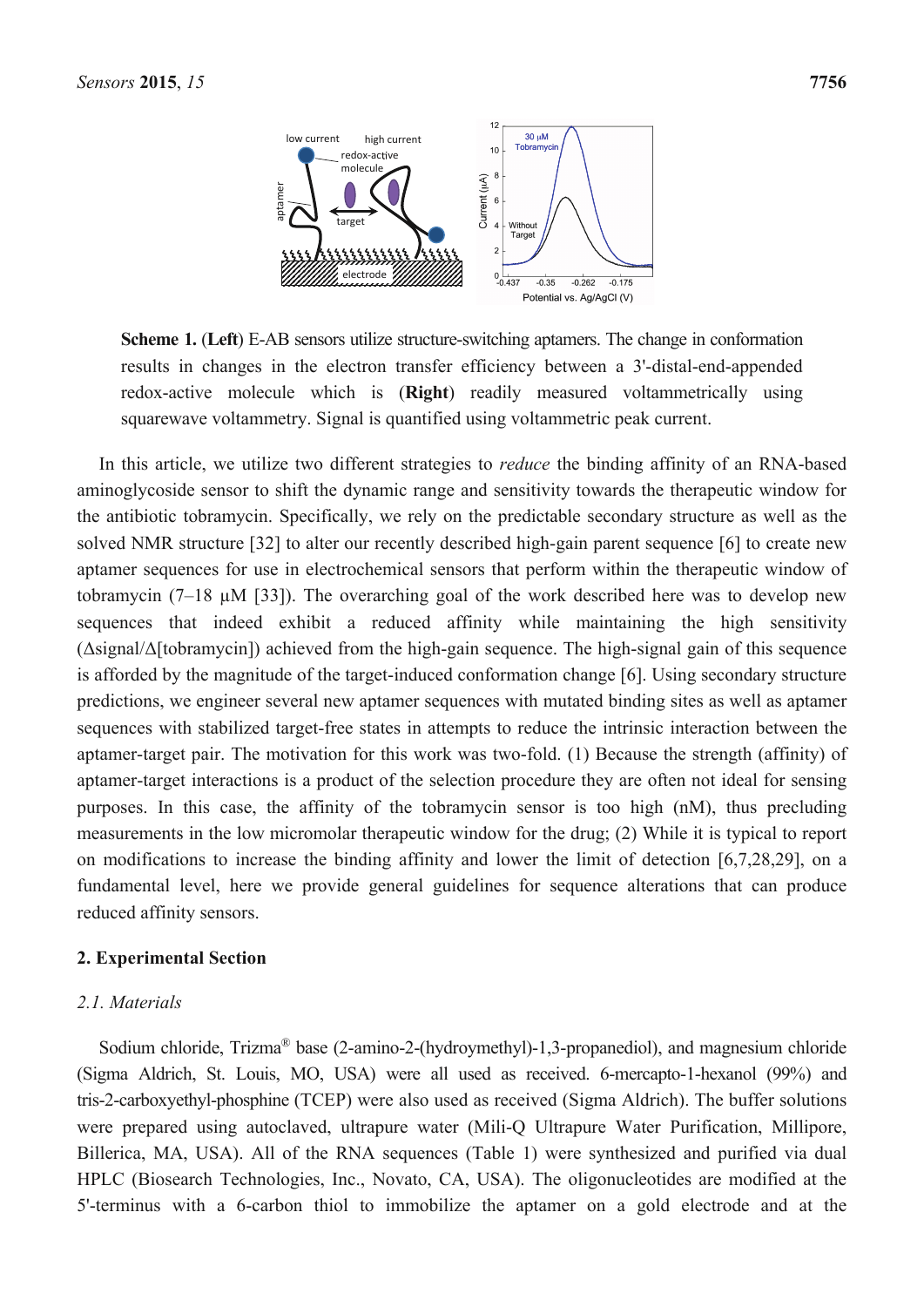

**Scheme 1.** (**Left**) E-AB sensors utilize structure-switching aptamers. The change in conformation results in changes in the electron transfer efficiency between a 3'-distal-end-appended redox-active molecule which is (**Right**) readily measured voltammetrically using squarewave voltammetry. Signal is quantified using voltammetric peak current.

In this article, we utilize two different strategies to *reduce* the binding affinity of an RNA-based aminoglycoside sensor to shift the dynamic range and sensitivity towards the therapeutic window for the antibiotic tobramycin. Specifically, we rely on the predictable secondary structure as well as the solved NMR structure [32] to alter our recently described high-gain parent sequence [6] to create new aptamer sequences for use in electrochemical sensors that perform within the therapeutic window of tobramycin (7–18 µM [33]). The overarching goal of the work described here was to develop new sequences that indeed exhibit a reduced affinity while maintaining the high sensitivity  $(\Delta$ signal $/\Delta$ [tobramycin]) achieved from the high-gain sequence. The high-signal gain of this sequence is afforded by the magnitude of the target-induced conformation change [6]. Using secondary structure predictions, we engineer several new aptamer sequences with mutated binding sites as well as aptamer sequences with stabilized target-free states in attempts to reduce the intrinsic interaction between the aptamer-target pair. The motivation for this work was two-fold. (1) Because the strength (affinity) of aptamer-target interactions is a product of the selection procedure they are often not ideal for sensing purposes. In this case, the affinity of the tobramycin sensor is too high (nM), thus precluding measurements in the low micromolar therapeutic window for the drug; (2) While it is typical to report on modifications to increase the binding affinity and lower the limit of detection [6,7,28,29], on a fundamental level, here we provide general guidelines for sequence alterations that can produce reduced affinity sensors.

#### **2. Experimental Section**

#### *2.1. Materials*

Sodium chloride, Trizma® base (2-amino-2-(hydroymethyl)-1,3-propanediol), and magnesium chloride (Sigma Aldrich, St. Louis, MO, USA) were all used as received. 6-mercapto-1-hexanol (99%) and tris-2-carboxyethyl-phosphine (TCEP) were also used as received (Sigma Aldrich). The buffer solutions were prepared using autoclaved, ultrapure water (Mili-Q Ultrapure Water Purification, Millipore, Billerica, MA, USA). All of the RNA sequences (Table 1) were synthesized and purified via dual HPLC (Biosearch Technologies, Inc., Novato, CA, USA). The oligonucleotides are modified at the 5'-terminus with a 6-carbon thiol to immobilize the aptamer on a gold electrode and at the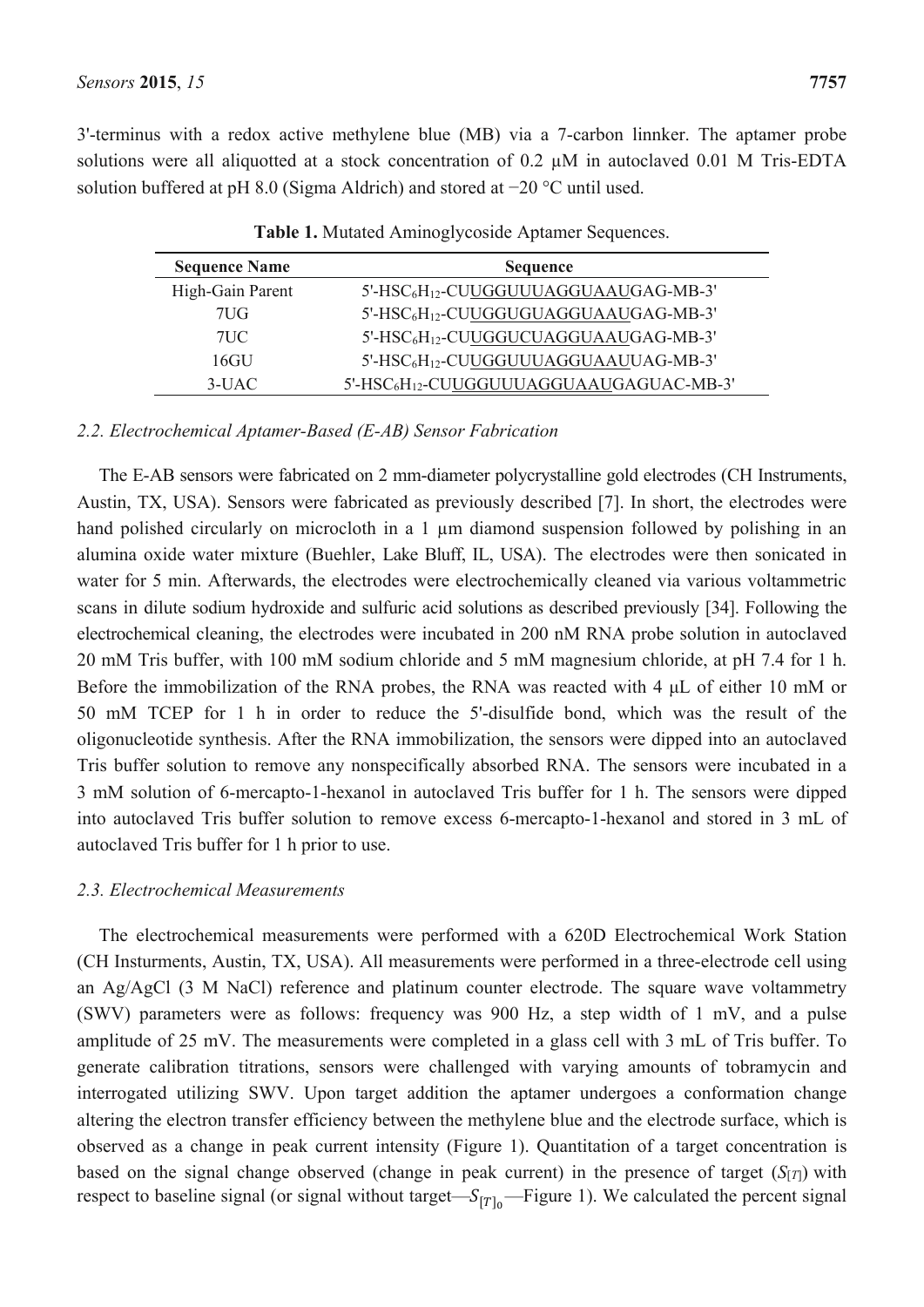3'-terminus with a redox active methylene blue (MB) via a 7-carbon linnker. The aptamer probe solutions were all aliquotted at a stock concentration of 0.2  $\mu$ M in autoclaved 0.01 M Tris-EDTA solution buffered at pH 8.0 (Sigma Aldrich) and stored at −20 °C until used.

| <b>Sequence Name</b> | <b>Sequence</b>                                                  |
|----------------------|------------------------------------------------------------------|
| High-Gain Parent     | 5'-HSC <sub>6</sub> H <sub>12</sub> -CUUGGUUUAGGUAAUGAG-MB-3'    |
| 7UG                  | 5'-HSC <sub>6</sub> H <sub>12</sub> -CUUGGUGUAGGUAAUGAG-MB-3'    |
| $7\mathrm{U}C$       | 5'-HSC <sub>6</sub> H <sub>12</sub> -CUUGGUCUAGGUAAUGAG-MB-3'    |
| 16GU                 | 5'-HSC <sub>6</sub> H <sub>12</sub> -CUUGGUUUAGGUAAUUAG-MB-3'    |
| $3-IJAC$             | 5'-HSC <sub>6</sub> H <sub>12</sub> -CUUGGUUUAGGUAAUGAGUAC-MB-3' |

**Table 1.** Mutated Aminoglycoside Aptamer Sequences.

# *2.2. Electrochemical Aptamer-Based (E-AB) Sensor Fabrication*

The E-AB sensors were fabricated on 2 mm-diameter polycrystalline gold electrodes (CH Instruments, Austin, TX, USA). Sensors were fabricated as previously described [7]. In short, the electrodes were hand polished circularly on microcloth in a 1  $\mu$ m diamond suspension followed by polishing in an alumina oxide water mixture (Buehler, Lake Bluff, IL, USA). The electrodes were then sonicated in water for 5 min. Afterwards, the electrodes were electrochemically cleaned via various voltammetric scans in dilute sodium hydroxide and sulfuric acid solutions as described previously [34]. Following the electrochemical cleaning, the electrodes were incubated in 200 nM RNA probe solution in autoclaved 20 mM Tris buffer, with 100 mM sodium chloride and 5 mM magnesium chloride, at pH 7.4 for 1 h. Before the immobilization of the RNA probes, the RNA was reacted with 4 μL of either 10 mM or 50 mM TCEP for 1 h in order to reduce the 5'-disulfide bond, which was the result of the oligonucleotide synthesis. After the RNA immobilization, the sensors were dipped into an autoclaved Tris buffer solution to remove any nonspecifically absorbed RNA. The sensors were incubated in a 3 mM solution of 6-mercapto-1-hexanol in autoclaved Tris buffer for 1 h. The sensors were dipped into autoclaved Tris buffer solution to remove excess 6-mercapto-1-hexanol and stored in 3 mL of autoclaved Tris buffer for 1 h prior to use.

# *2.3. Electrochemical Measurements*

The electrochemical measurements were performed with a 620D Electrochemical Work Station (CH Insturments, Austin, TX, USA). All measurements were performed in a three-electrode cell using an Ag/AgCl (3 M NaCl) reference and platinum counter electrode. The square wave voltammetry (SWV) parameters were as follows: frequency was 900 Hz, a step width of 1 mV, and a pulse amplitude of 25 mV. The measurements were completed in a glass cell with 3 mL of Tris buffer. To generate calibration titrations, sensors were challenged with varying amounts of tobramycin and interrogated utilizing SWV. Upon target addition the aptamer undergoes a conformation change altering the electron transfer efficiency between the methylene blue and the electrode surface, which is observed as a change in peak current intensity (Figure 1). Quantitation of a target concentration is based on the signal change observed (change in peak current) in the presence of target (*S*[*T*]) with respect to baseline signal (or signal without target— $S_{[T]_0}$ —Figure 1). We calculated the percent signal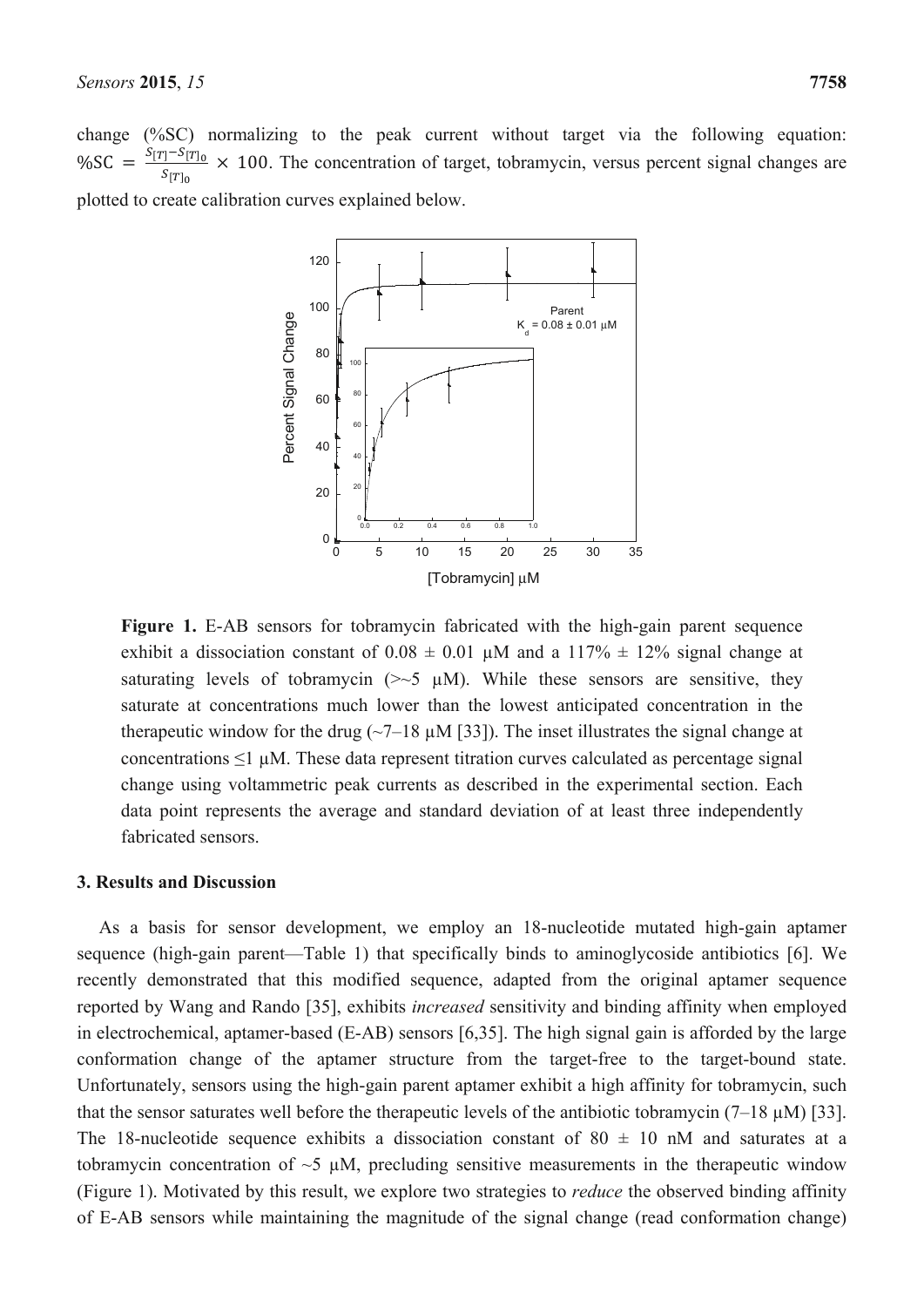

**Figure 1.** E-AB sensors for tobramycin fabricated with the high-gain parent sequence exhibit a dissociation constant of  $0.08 \pm 0.01$  µM and a 117%  $\pm$  12% signal change at saturating levels of tobramycin ( $\gg$ 5  $\mu$ M). While these sensors are sensitive, they saturate at concentrations much lower than the lowest anticipated concentration in the therapeutic window for the drug ( $\sim$ 7–18  $\mu$ M [33]). The inset illustrates the signal change at concentrations  $\leq 1 \mu M$ . These data represent titration curves calculated as percentage signal change using voltammetric peak currents as described in the experimental section. Each data point represents the average and standard deviation of at least three independently fabricated sensors.

#### **3. Results and Discussion**

As a basis for sensor development, we employ an 18-nucleotide mutated high-gain aptamer sequence (high-gain parent—Table 1) that specifically binds to aminoglycoside antibiotics [6]. We recently demonstrated that this modified sequence, adapted from the original aptamer sequence reported by Wang and Rando [35], exhibits *increased* sensitivity and binding affinity when employed in electrochemical, aptamer-based (E-AB) sensors [6,35]. The high signal gain is afforded by the large conformation change of the aptamer structure from the target-free to the target-bound state. Unfortunately, sensors using the high-gain parent aptamer exhibit a high affinity for tobramycin, such that the sensor saturates well before the therapeutic levels of the antibiotic tobramycin  $(7-18 \mu M)$  [33]. The 18-nucleotide sequence exhibits a dissociation constant of  $80 \pm 10$  nM and saturates at a tobramycin concentration of  $\sim$ 5  $\mu$ M, precluding sensitive measurements in the therapeutic window (Figure 1). Motivated by this result, we explore two strategies to *reduce* the observed binding affinity of E-AB sensors while maintaining the magnitude of the signal change (read conformation change)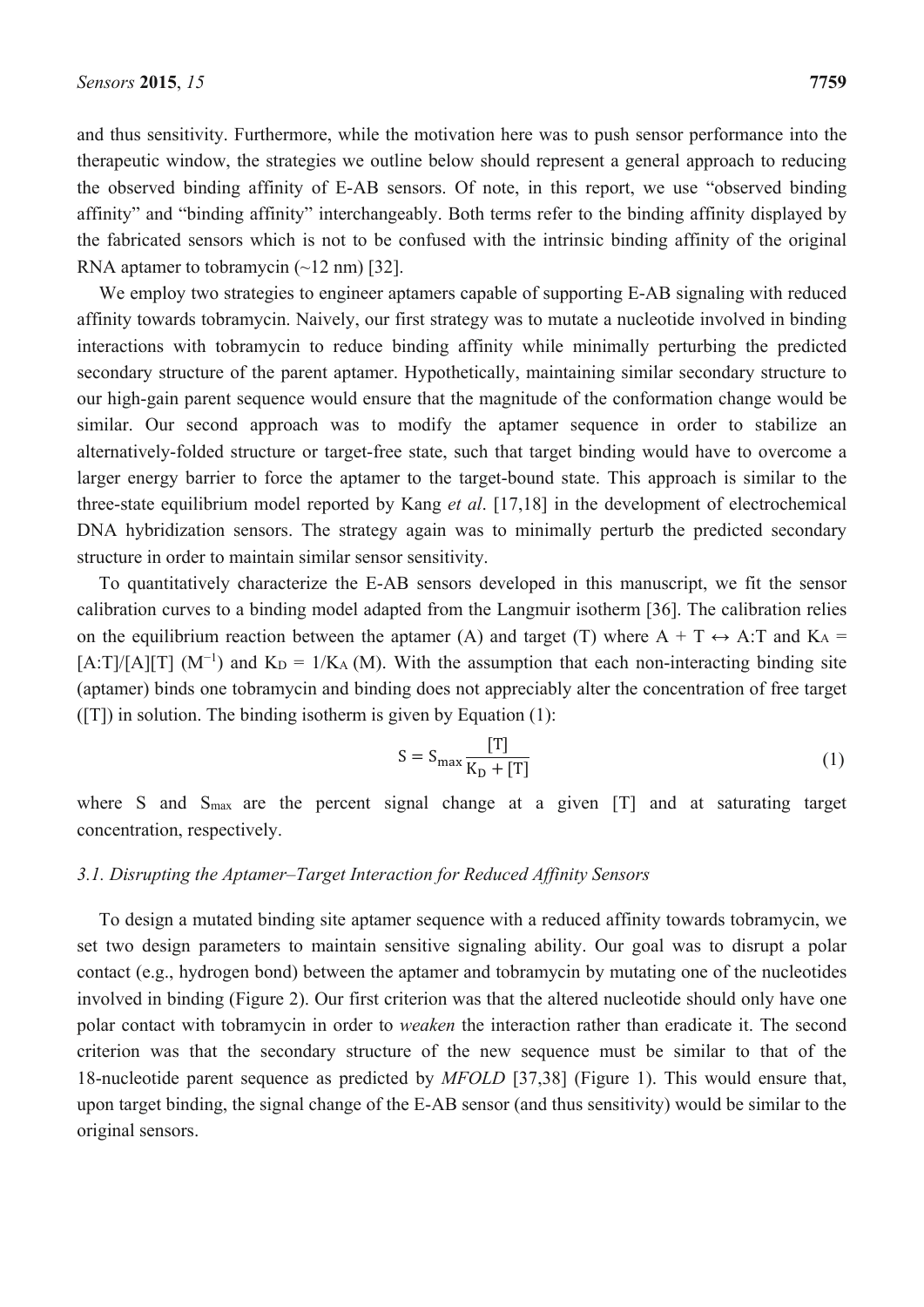and thus sensitivity. Furthermore, while the motivation here was to push sensor performance into the therapeutic window, the strategies we outline below should represent a general approach to reducing the observed binding affinity of E-AB sensors. Of note, in this report, we use "observed binding affinity" and "binding affinity" interchangeably. Both terms refer to the binding affinity displayed by the fabricated sensors which is not to be confused with the intrinsic binding affinity of the original RNA aptamer to tobramycin (~12 nm) [32].

We employ two strategies to engineer aptamers capable of supporting E-AB signaling with reduced affinity towards tobramycin. Naively, our first strategy was to mutate a nucleotide involved in binding interactions with tobramycin to reduce binding affinity while minimally perturbing the predicted secondary structure of the parent aptamer. Hypothetically, maintaining similar secondary structure to our high-gain parent sequence would ensure that the magnitude of the conformation change would be similar. Our second approach was to modify the aptamer sequence in order to stabilize an alternatively-folded structure or target-free state, such that target binding would have to overcome a larger energy barrier to force the aptamer to the target-bound state. This approach is similar to the three-state equilibrium model reported by Kang *et al*. [17,18] in the development of electrochemical DNA hybridization sensors. The strategy again was to minimally perturb the predicted secondary structure in order to maintain similar sensor sensitivity.

To quantitatively characterize the E-AB sensors developed in this manuscript, we fit the sensor calibration curves to a binding model adapted from the Langmuir isotherm [36]. The calibration relies on the equilibrium reaction between the aptamer (A) and target (T) where  $A + T \leftrightarrow A$ : T and  $K_A =$  $[A: T]/[A][T]$  (M<sup>-1</sup>) and K<sub>D</sub> = 1/K<sub>A</sub> (M). With the assumption that each non-interacting binding site (aptamer) binds one tobramycin and binding does not appreciably alter the concentration of free target ([T]) in solution. The binding isotherm is given by Equation (1):

$$
S = S_{\text{max}} \frac{[T]}{K_{\text{D}} + [T]}
$$
 (1)

where S and S<sub>max</sub> are the percent signal change at a given [T] and at saturating target concentration, respectively.

## *3.1. Disrupting the Aptamer–Target Interaction for Reduced Affinity Sensors*

To design a mutated binding site aptamer sequence with a reduced affinity towards tobramycin, we set two design parameters to maintain sensitive signaling ability. Our goal was to disrupt a polar contact (e.g., hydrogen bond) between the aptamer and tobramycin by mutating one of the nucleotides involved in binding (Figure 2). Our first criterion was that the altered nucleotide should only have one polar contact with tobramycin in order to *weaken* the interaction rather than eradicate it. The second criterion was that the secondary structure of the new sequence must be similar to that of the 18-nucleotide parent sequence as predicted by *MFOLD* [37,38] (Figure 1). This would ensure that, upon target binding, the signal change of the E-AB sensor (and thus sensitivity) would be similar to the original sensors.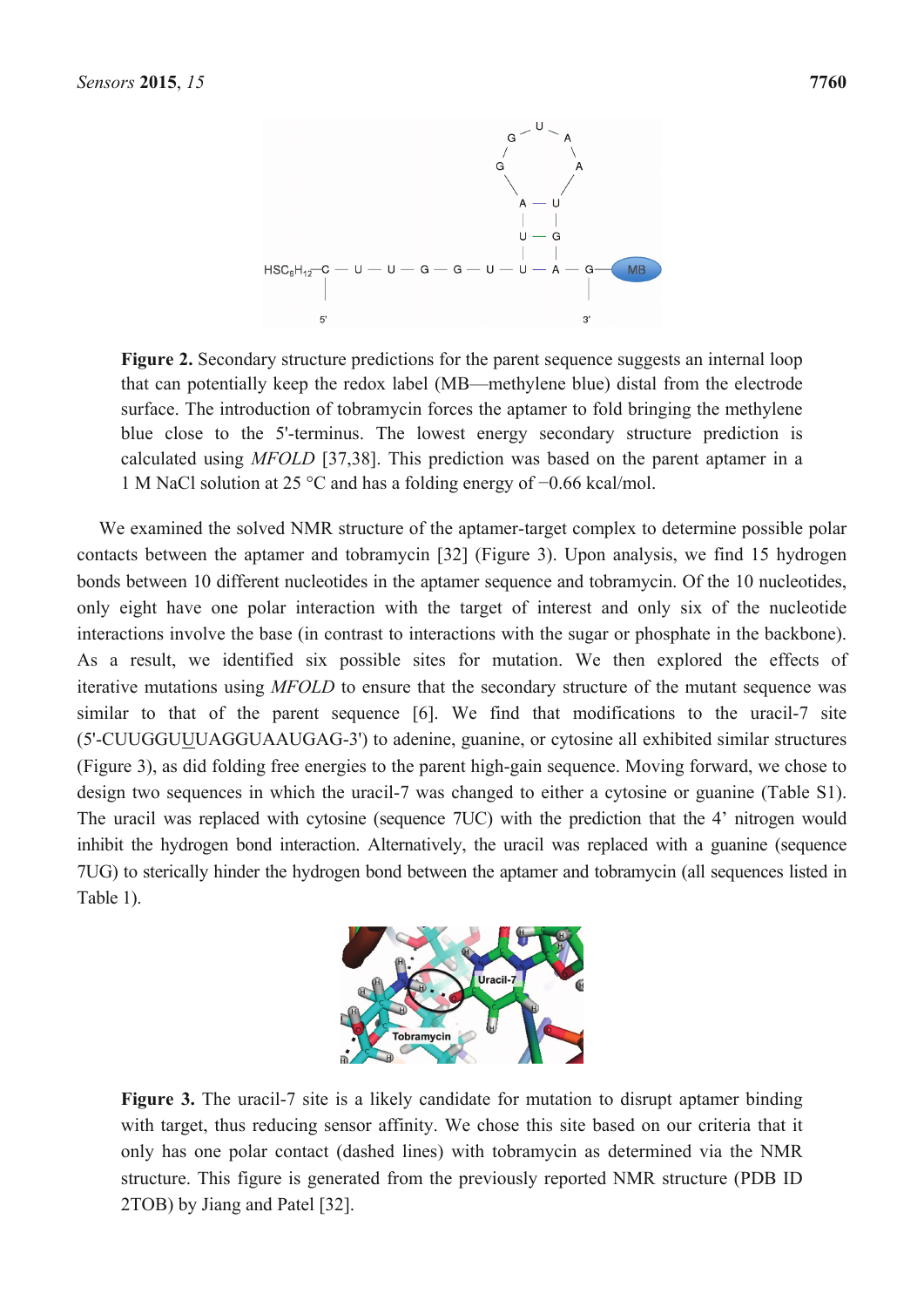

Figure 2. Secondary structure predictions for the parent sequence suggests an internal loop that can potentially keep the redox label (MB—methylene blue) distal from the electrode surface. The introduction of tobramycin forces the aptamer to fold bringing the methylene blue close to the 5'-terminus. The lowest energy secondary structure prediction is calculated using *MFOLD* [37,38]. This prediction was based on the parent aptamer in a 1 M NaCl solution at 25 °C and has a folding energy of −0.66 kcal/mol.

We examined the solved NMR structure of the aptamer-target complex to determine possible polar contacts between the aptamer and tobramycin [32] (Figure 3). Upon analysis, we find 15 hydrogen bonds between 10 different nucleotides in the aptamer sequence and tobramycin. Of the 10 nucleotides, only eight have one polar interaction with the target of interest and only six of the nucleotide interactions involve the base (in contrast to interactions with the sugar or phosphate in the backbone). As a result, we identified six possible sites for mutation. We then explored the effects of iterative mutations using *MFOLD* to ensure that the secondary structure of the mutant sequence was similar to that of the parent sequence [6]. We find that modifications to the uracil-7 site (5'-CUUGGUUUAGGUAAUGAG-3') to adenine, guanine, or cytosine all exhibited similar structures (Figure 3), as did folding free energies to the parent high-gain sequence. Moving forward, we chose to design two sequences in which the uracil-7 was changed to either a cytosine or guanine (Table S1). The uracil was replaced with cytosine (sequence 7UC) with the prediction that the 4' nitrogen would inhibit the hydrogen bond interaction. Alternatively, the uracil was replaced with a guanine (sequence 7UG) to sterically hinder the hydrogen bond between the aptamer and tobramycin (all sequences listed in Table 1).



Figure 3. The uracil-7 site is a likely candidate for mutation to disrupt aptamer binding with target, thus reducing sensor affinity. We chose this site based on our criteria that it only has one polar contact (dashed lines) with tobramycin as determined via the NMR structure. This figure is generated from the previously reported NMR structure (PDB ID 2TOB) by Jiang and Patel [32].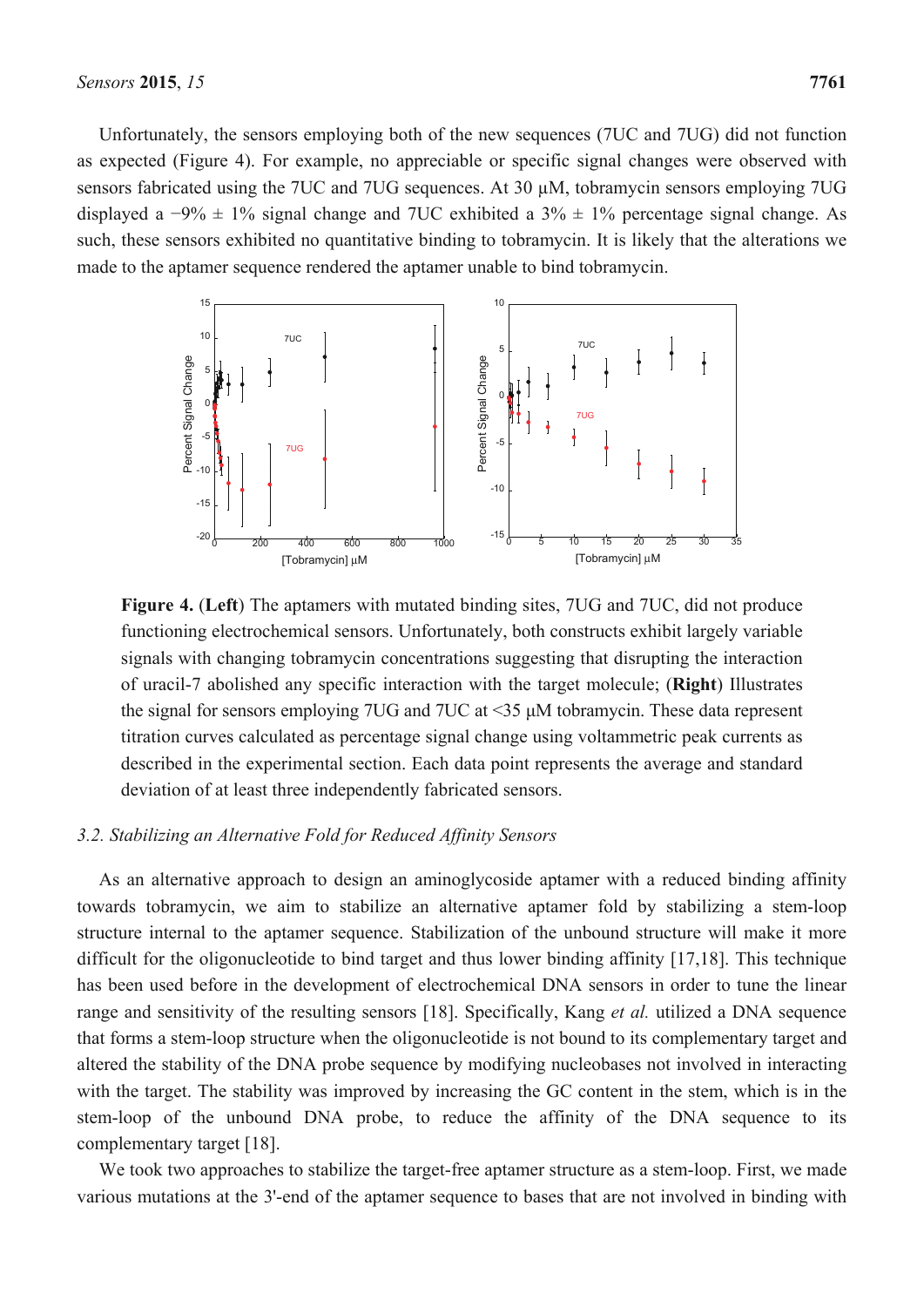Unfortunately, the sensors employing both of the new sequences (7UC and 7UG) did not function as expected (Figure 4). For example, no appreciable or specific signal changes were observed with sensors fabricated using the 7UC and 7UG sequences. At 30 µM, tobramycin sensors employing 7UG displayed a  $-9\% \pm 1\%$  signal change and 7UC exhibited a  $3\% \pm 1\%$  percentage signal change. As such, these sensors exhibited no quantitative binding to tobramycin. It is likely that the alterations we made to the aptamer sequence rendered the aptamer unable to bind tobramycin.



**Figure 4.** (**Left**) The aptamers with mutated binding sites, 7UG and 7UC, did not produce functioning electrochemical sensors. Unfortunately, both constructs exhibit largely variable signals with changing tobramycin concentrations suggesting that disrupting the interaction of uracil-7 abolished any specific interaction with the target molecule; (**Right**) Illustrates the signal for sensors employing 7UG and 7UC at <35 μM tobramycin. These data represent titration curves calculated as percentage signal change using voltammetric peak currents as described in the experimental section. Each data point represents the average and standard deviation of at least three independently fabricated sensors.

#### *3.2. Stabilizing an Alternative Fold for Reduced Affinity Sensors*

As an alternative approach to design an aminoglycoside aptamer with a reduced binding affinity towards tobramycin, we aim to stabilize an alternative aptamer fold by stabilizing a stem-loop structure internal to the aptamer sequence. Stabilization of the unbound structure will make it more difficult for the oligonucleotide to bind target and thus lower binding affinity [17,18]. This technique has been used before in the development of electrochemical DNA sensors in order to tune the linear range and sensitivity of the resulting sensors [18]. Specifically, Kang *et al.* utilized a DNA sequence that forms a stem-loop structure when the oligonucleotide is not bound to its complementary target and altered the stability of the DNA probe sequence by modifying nucleobases not involved in interacting with the target. The stability was improved by increasing the GC content in the stem, which is in the stem-loop of the unbound DNA probe, to reduce the affinity of the DNA sequence to its complementary target [18].

We took two approaches to stabilize the target-free aptamer structure as a stem-loop. First, we made various mutations at the 3'-end of the aptamer sequence to bases that are not involved in binding with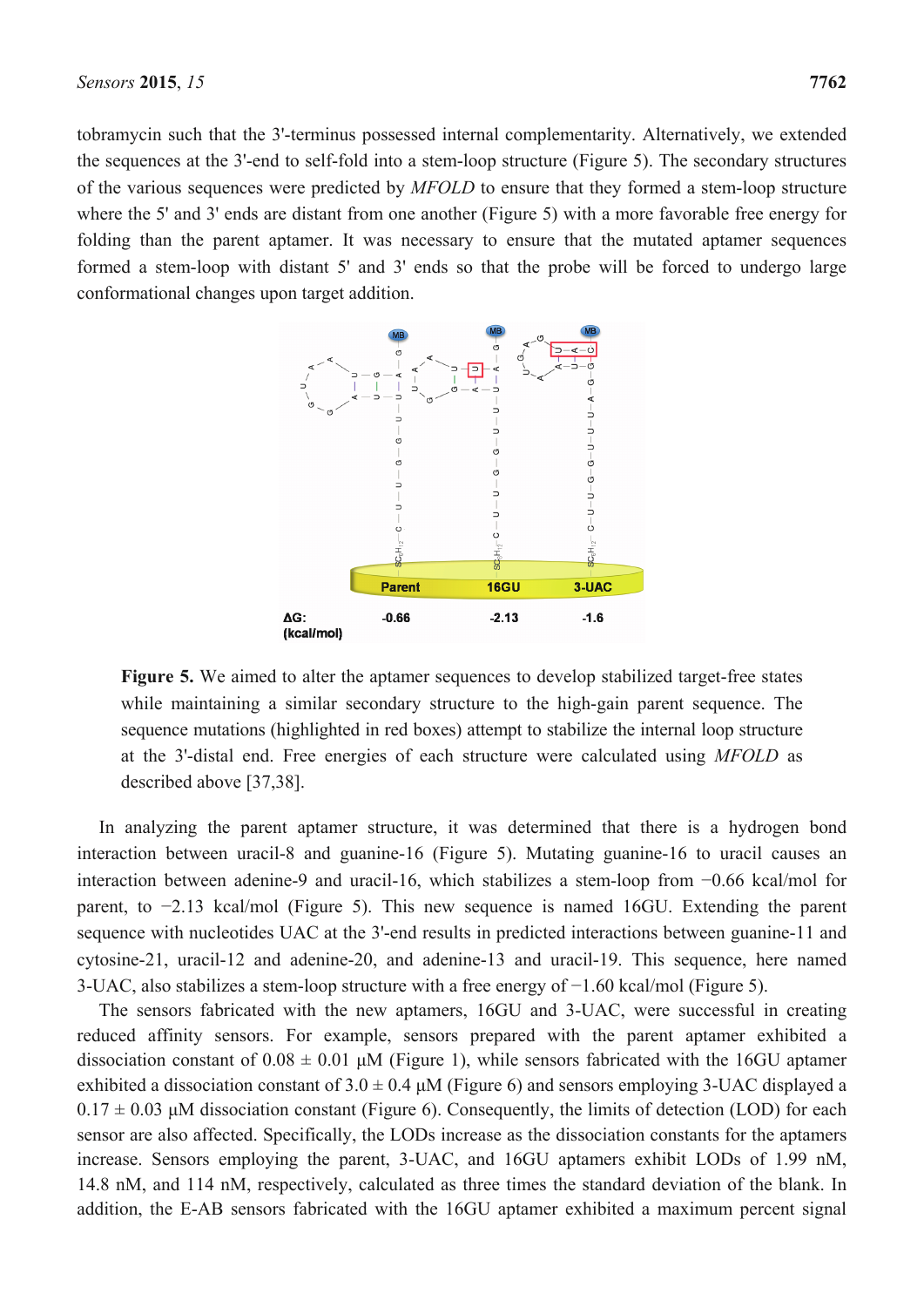tobramycin such that the 3'-terminus possessed internal complementarity. Alternatively, we extended the sequences at the 3'-end to self-fold into a stem-loop structure (Figure 5). The secondary structures of the various sequences were predicted by *MFOLD* to ensure that they formed a stem-loop structure where the 5' and 3' ends are distant from one another (Figure 5) with a more favorable free energy for folding than the parent aptamer. It was necessary to ensure that the mutated aptamer sequences formed a stem-loop with distant 5' and 3' ends so that the probe will be forced to undergo large



**Figure 5.** We aimed to alter the aptamer sequences to develop stabilized target-free states while maintaining a similar secondary structure to the high-gain parent sequence. The sequence mutations (highlighted in red boxes) attempt to stabilize the internal loop structure at the 3'-distal end. Free energies of each structure were calculated using *MFOLD* as described above [37,38].

In analyzing the parent aptamer structure, it was determined that there is a hydrogen bond interaction between uracil-8 and guanine-16 (Figure 5). Mutating guanine-16 to uracil causes an interaction between adenine-9 and uracil-16, which stabilizes a stem-loop from −0.66 kcal/mol for parent, to −2.13 kcal/mol (Figure 5). This new sequence is named 16GU. Extending the parent sequence with nucleotides UAC at the 3'-end results in predicted interactions between guanine-11 and cytosine-21, uracil-12 and adenine-20, and adenine-13 and uracil-19. This sequence, here named 3-UAC, also stabilizes a stem-loop structure with a free energy of −1.60 kcal/mol (Figure 5).

The sensors fabricated with the new aptamers, 16GU and 3-UAC, were successful in creating reduced affinity sensors. For example, sensors prepared with the parent aptamer exhibited a dissociation constant of  $0.08 \pm 0.01$   $\mu$ M (Figure 1), while sensors fabricated with the 16GU aptamer exhibited a dissociation constant of  $3.0 \pm 0.4 \mu M$  (Figure 6) and sensors employing 3-UAC displayed a  $0.17 \pm 0.03$  μM dissociation constant (Figure 6). Consequently, the limits of detection (LOD) for each sensor are also affected. Specifically, the LODs increase as the dissociation constants for the aptamers increase. Sensors employing the parent, 3-UAC, and 16GU aptamers exhibit LODs of 1.99 nM, 14.8 nM, and 114 nM, respectively, calculated as three times the standard deviation of the blank. In addition, the E-AB sensors fabricated with the 16GU aptamer exhibited a maximum percent signal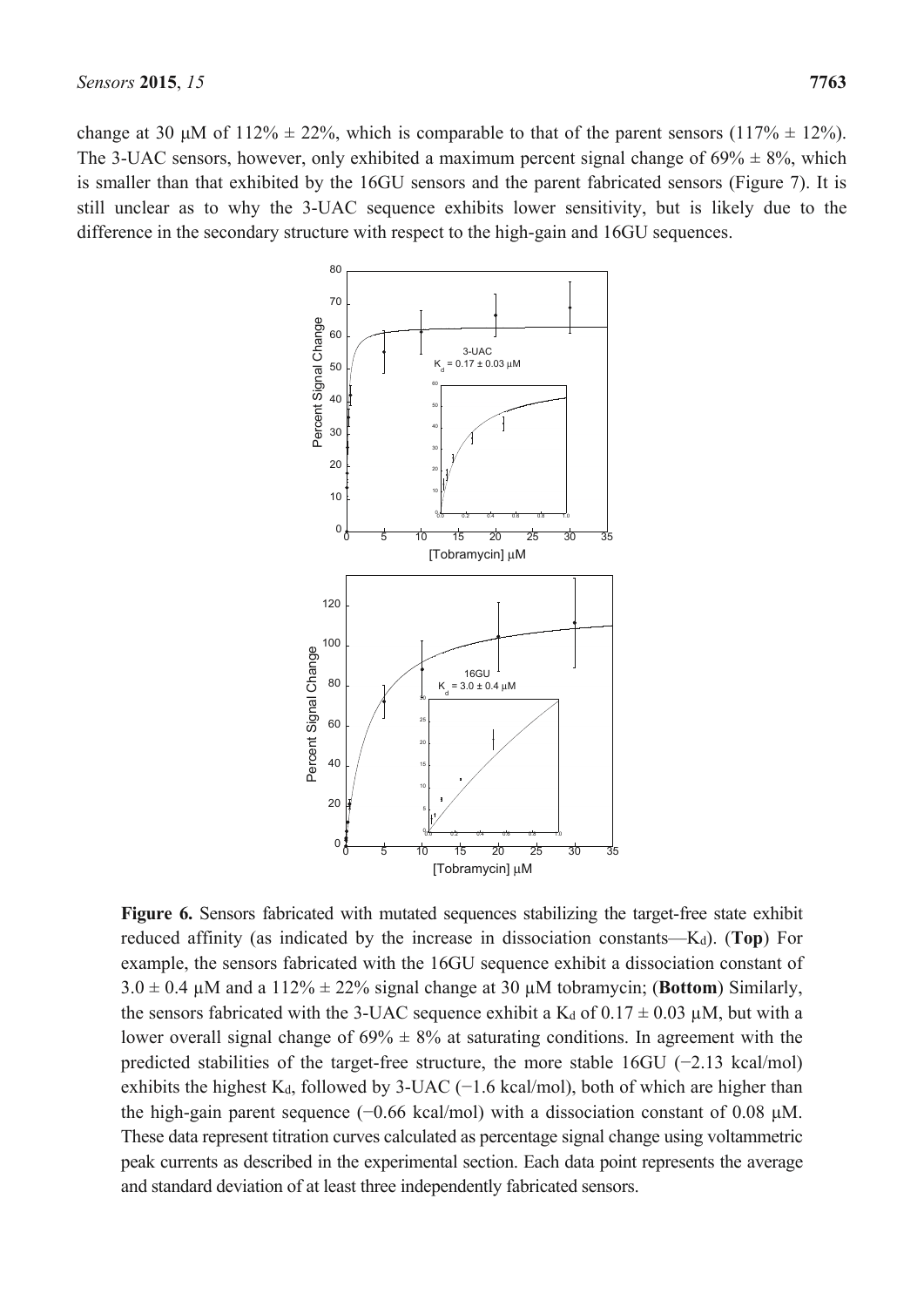change at 30 μM of 112%  $\pm$  22%, which is comparable to that of the parent sensors (117%  $\pm$  12%). The 3-UAC sensors, however, only exhibited a maximum percent signal change of  $69\% \pm 8\%$ , which is smaller than that exhibited by the 16GU sensors and the parent fabricated sensors (Figure 7). It is still unclear as to why the 3-UAC sequence exhibits lower sensitivity, but is likely due to the difference in the secondary structure with respect to the high-gain and 16GU sequences.



**Figure 6.** Sensors fabricated with mutated sequences stabilizing the target-free state exhibit reduced affinity (as indicated by the increase in dissociation constants—Kd). (**Top**) For example, the sensors fabricated with the 16GU sequence exhibit a dissociation constant of  $3.0 \pm 0.4$   $\mu$ M and a 112%  $\pm$  22% signal change at 30  $\mu$ M tobramycin; (**Bottom**) Similarly, the sensors fabricated with the 3-UAC sequence exhibit a  $K_d$  of  $0.17 \pm 0.03$  µM, but with a lower overall signal change of  $69\% \pm 8\%$  at saturating conditions. In agreement with the predicted stabilities of the target-free structure, the more stable 16GU (−2.13 kcal/mol) exhibits the highest K<sub>d</sub>, followed by 3-UAC (−1.6 kcal/mol), both of which are higher than the high-gain parent sequence (−0.66 kcal/mol) with a dissociation constant of 0.08 μM. These data represent titration curves calculated as percentage signal change using voltammetric peak currents as described in the experimental section. Each data point represents the average and standard deviation of at least three independently fabricated sensors.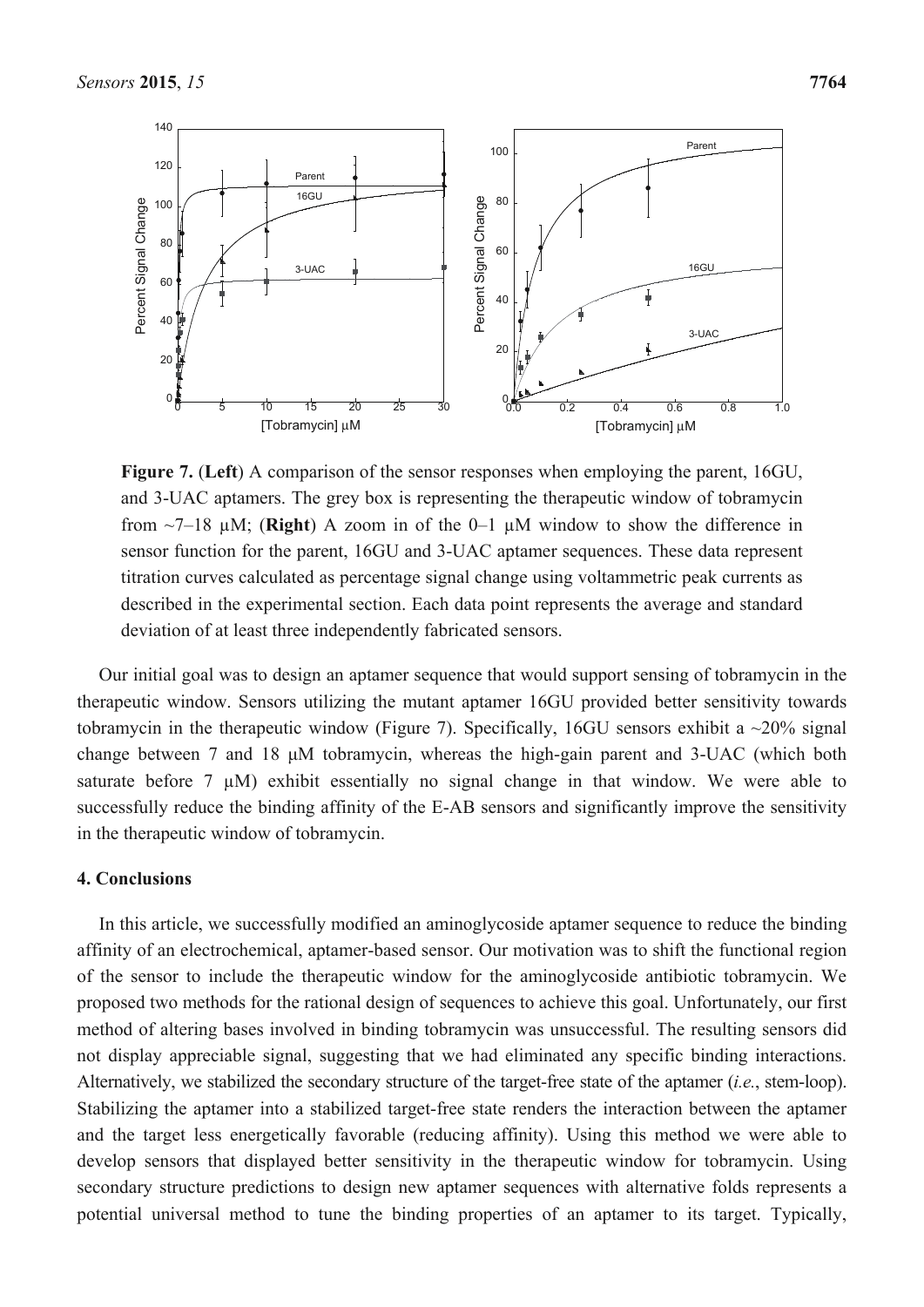

**Figure 7.** (**Left**) A comparison of the sensor responses when employing the parent, 16GU, and 3-UAC aptamers. The grey box is representing the therapeutic window of tobramycin from ~7–18 µM; (**Right**) A zoom in of the 0–1 µM window to show the difference in sensor function for the parent, 16GU and 3-UAC aptamer sequences. These data represent titration curves calculated as percentage signal change using voltammetric peak currents as described in the experimental section. Each data point represents the average and standard deviation of at least three independently fabricated sensors.

Our initial goal was to design an aptamer sequence that would support sensing of tobramycin in the therapeutic window. Sensors utilizing the mutant aptamer 16GU provided better sensitivity towards tobramycin in the therapeutic window (Figure 7). Specifically, 16GU sensors exhibit a  $\sim$ 20% signal change between 7 and 18 μM tobramycin, whereas the high-gain parent and 3-UAC (which both saturate before 7  $\mu$ M) exhibit essentially no signal change in that window. We were able to successfully reduce the binding affinity of the E-AB sensors and significantly improve the sensitivity in the therapeutic window of tobramycin.

#### **4. Conclusions**

In this article, we successfully modified an aminoglycoside aptamer sequence to reduce the binding affinity of an electrochemical, aptamer-based sensor. Our motivation was to shift the functional region of the sensor to include the therapeutic window for the aminoglycoside antibiotic tobramycin. We proposed two methods for the rational design of sequences to achieve this goal. Unfortunately, our first method of altering bases involved in binding tobramycin was unsuccessful. The resulting sensors did not display appreciable signal, suggesting that we had eliminated any specific binding interactions. Alternatively, we stabilized the secondary structure of the target-free state of the aptamer (*i.e.*, stem-loop). Stabilizing the aptamer into a stabilized target-free state renders the interaction between the aptamer and the target less energetically favorable (reducing affinity). Using this method we were able to develop sensors that displayed better sensitivity in the therapeutic window for tobramycin. Using secondary structure predictions to design new aptamer sequences with alternative folds represents a potential universal method to tune the binding properties of an aptamer to its target. Typically,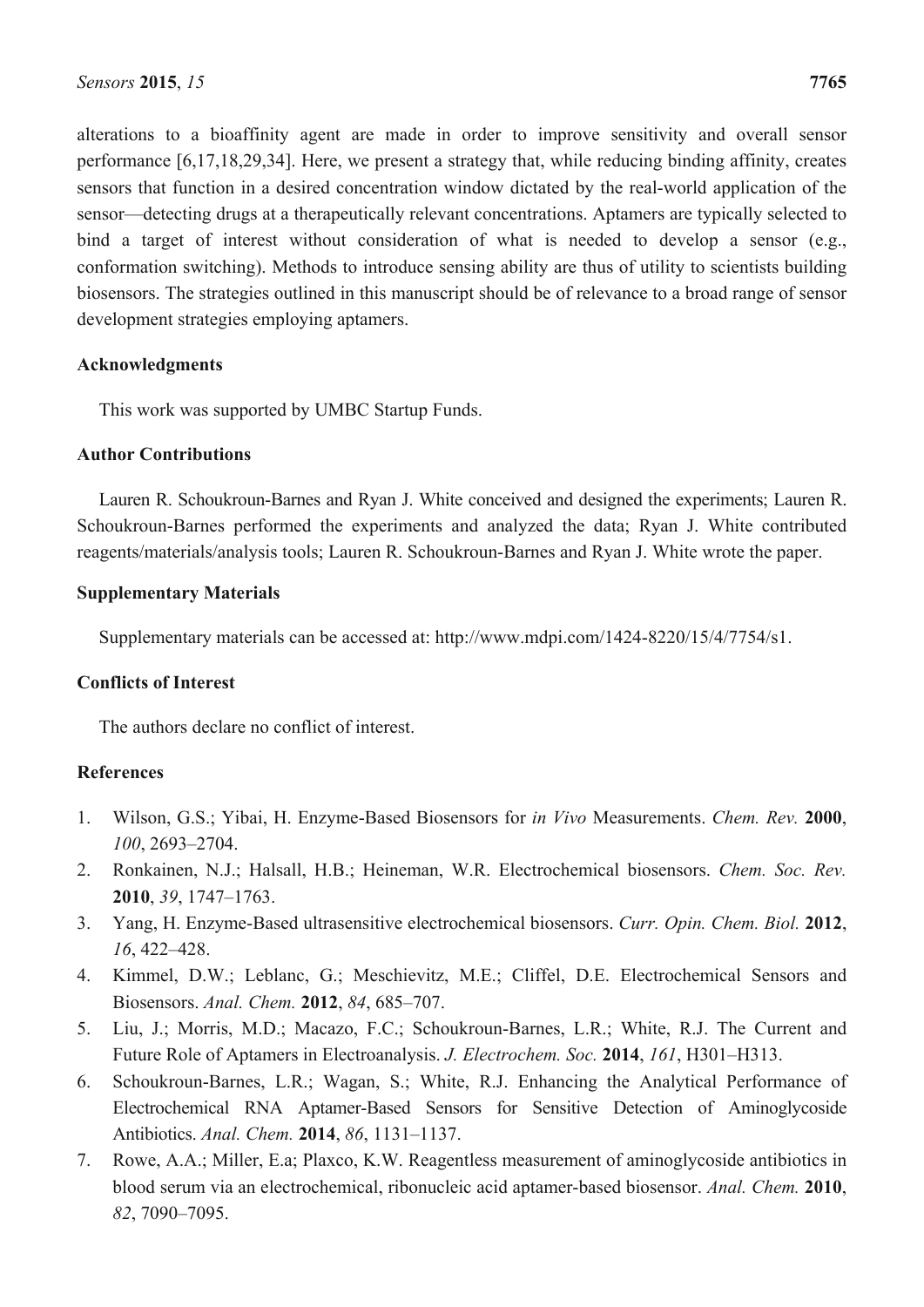alterations to a bioaffinity agent are made in order to improve sensitivity and overall sensor performance [6,17,18,29,34]. Here, we present a strategy that, while reducing binding affinity, creates sensors that function in a desired concentration window dictated by the real-world application of the sensor—detecting drugs at a therapeutically relevant concentrations. Aptamers are typically selected to bind a target of interest without consideration of what is needed to develop a sensor (e.g., conformation switching). Methods to introduce sensing ability are thus of utility to scientists building biosensors. The strategies outlined in this manuscript should be of relevance to a broad range of sensor development strategies employing aptamers.

## **Acknowledgments**

This work was supported by UMBC Startup Funds.

## **Author Contributions**

Lauren R. Schoukroun-Barnes and Ryan J. White conceived and designed the experiments; Lauren R. Schoukroun-Barnes performed the experiments and analyzed the data; Ryan J. White contributed reagents/materials/analysis tools; Lauren R. Schoukroun-Barnes and Ryan J. White wrote the paper.

## **Supplementary Materials**

Supplementary materials can be accessed at: http://www.mdpi.com/1424-8220/15/4/7754/s1.

# **Conflicts of Interest**

The authors declare no conflict of interest.

# **References**

- 1. Wilson, G.S.; Yibai, H. Enzyme-Based Biosensors for *in Vivo* Measurements. *Chem. Rev.* **2000**, *100*, 2693–2704.
- 2. Ronkainen, N.J.; Halsall, H.B.; Heineman, W.R. Electrochemical biosensors. *Chem. Soc. Rev.* **2010**, *39*, 1747–1763.
- 3. Yang, H. Enzyme-Based ultrasensitive electrochemical biosensors. *Curr. Opin. Chem. Biol.* **2012**, *16*, 422–428.
- 4. Kimmel, D.W.; Leblanc, G.; Meschievitz, M.E.; Cliffel, D.E. Electrochemical Sensors and Biosensors. *Anal. Chem.* **2012**, *84*, 685–707.
- 5. Liu, J.; Morris, M.D.; Macazo, F.C.; Schoukroun-Barnes, L.R.; White, R.J. The Current and Future Role of Aptamers in Electroanalysis. *J. Electrochem. Soc.* **2014**, *161*, H301–H313.
- 6. Schoukroun-Barnes, L.R.; Wagan, S.; White, R.J. Enhancing the Analytical Performance of Electrochemical RNA Aptamer-Based Sensors for Sensitive Detection of Aminoglycoside Antibiotics. *Anal. Chem.* **2014**, *86*, 1131–1137.
- 7. Rowe, A.A.; Miller, E.a; Plaxco, K.W. Reagentless measurement of aminoglycoside antibiotics in blood serum via an electrochemical, ribonucleic acid aptamer-based biosensor. *Anal. Chem.* **2010**, *82*, 7090–7095.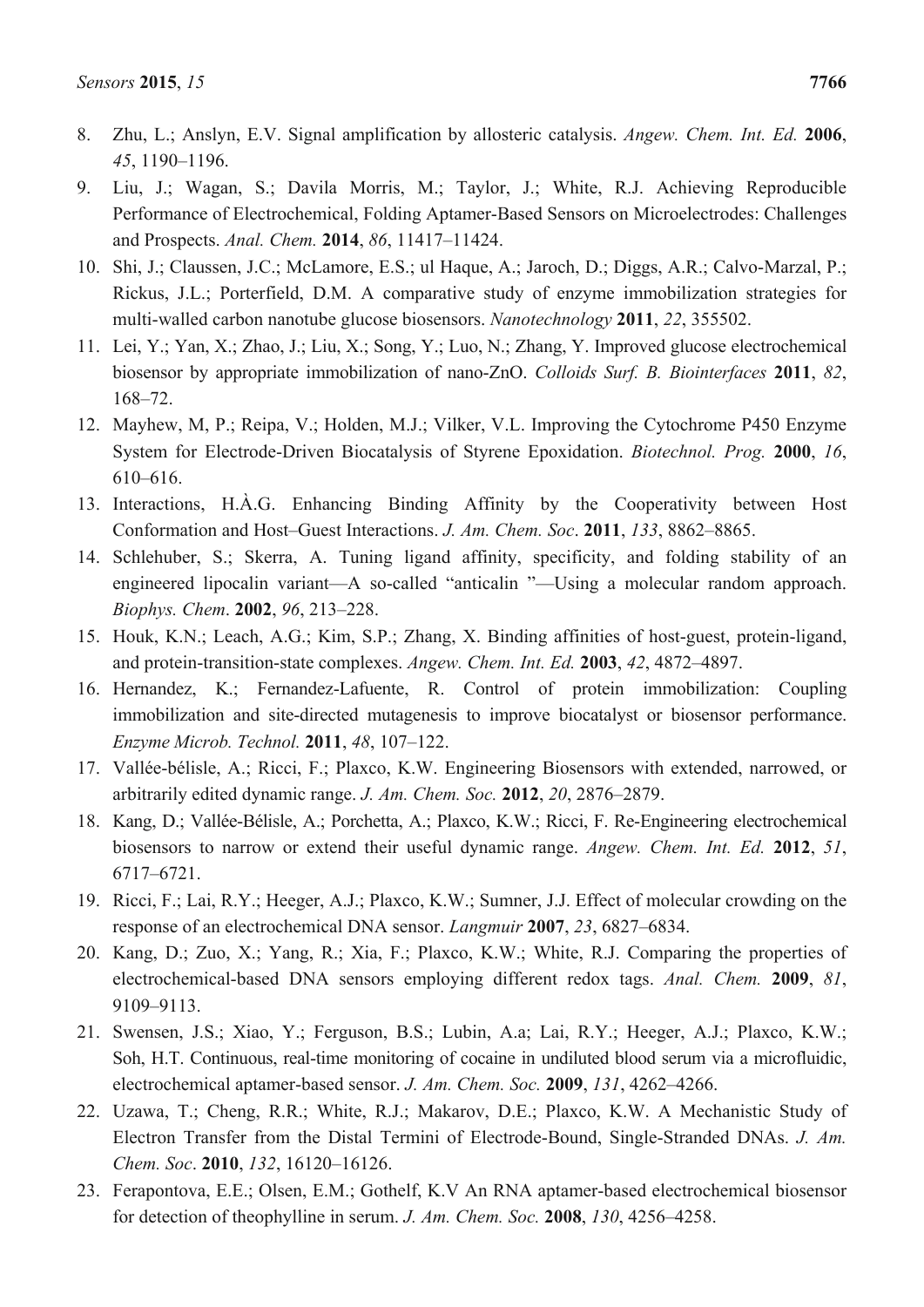- 8. Zhu, L.; Anslyn, E.V. Signal amplification by allosteric catalysis. *Angew. Chem. Int. Ed.* **2006**, *45*, 1190–1196.
- 9. Liu, J.; Wagan, S.; Davila Morris, M.; Taylor, J.; White, R.J. Achieving Reproducible Performance of Electrochemical, Folding Aptamer-Based Sensors on Microelectrodes: Challenges and Prospects. *Anal. Chem.* **2014**, *86*, 11417–11424.
- 10. Shi, J.; Claussen, J.C.; McLamore, E.S.; ul Haque, A.; Jaroch, D.; Diggs, A.R.; Calvo-Marzal, P.; Rickus, J.L.; Porterfield, D.M. A comparative study of enzyme immobilization strategies for multi-walled carbon nanotube glucose biosensors. *Nanotechnology* **2011**, *22*, 355502.
- 11. Lei, Y.; Yan, X.; Zhao, J.; Liu, X.; Song, Y.; Luo, N.; Zhang, Y. Improved glucose electrochemical biosensor by appropriate immobilization of nano-ZnO. *Colloids Surf. B. Biointerfaces* **2011**, *82*, 168–72.
- 12. Mayhew, M, P.; Reipa, V.; Holden, M.J.; Vilker, V.L. Improving the Cytochrome P450 Enzyme System for Electrode-Driven Biocatalysis of Styrene Epoxidation. *Biotechnol. Prog.* **2000**, *16*, 610–616.
- 13. Interactions, H.À.G. Enhancing Binding Affinity by the Cooperativity between Host Conformation and Host–Guest Interactions. *J. Am. Chem. Soc*. **2011**, *133*, 8862–8865.
- 14. Schlehuber, S.; Skerra, A. Tuning ligand affinity, specificity, and folding stability of an engineered lipocalin variant—A so-called "anticalin "—Using a molecular random approach. *Biophys. Chem*. **2002**, *96*, 213–228.
- 15. Houk, K.N.; Leach, A.G.; Kim, S.P.; Zhang, X. Binding affinities of host-guest, protein-ligand, and protein-transition-state complexes. *Angew. Chem. Int. Ed.* **2003**, *42*, 4872–4897.
- 16. Hernandez, K.; Fernandez-Lafuente, R. Control of protein immobilization: Coupling immobilization and site-directed mutagenesis to improve biocatalyst or biosensor performance. *Enzyme Microb. Technol.* **2011**, *48*, 107–122.
- 17. Vallée-bélisle, A.; Ricci, F.; Plaxco, K.W. Engineering Biosensors with extended, narrowed, or arbitrarily edited dynamic range. *J. Am. Chem. Soc.* **2012**, *20*, 2876–2879.
- 18. Kang, D.; Vallée-Bélisle, A.; Porchetta, A.; Plaxco, K.W.; Ricci, F. Re-Engineering electrochemical biosensors to narrow or extend their useful dynamic range. *Angew. Chem. Int. Ed.* **2012**, *51*, 6717–6721.
- 19. Ricci, F.; Lai, R.Y.; Heeger, A.J.; Plaxco, K.W.; Sumner, J.J. Effect of molecular crowding on the response of an electrochemical DNA sensor. *Langmuir* **2007**, *23*, 6827–6834.
- 20. Kang, D.; Zuo, X.; Yang, R.; Xia, F.; Plaxco, K.W.; White, R.J. Comparing the properties of electrochemical-based DNA sensors employing different redox tags. *Anal. Chem.* **2009**, *81*, 9109–9113.
- 21. Swensen, J.S.; Xiao, Y.; Ferguson, B.S.; Lubin, A.a; Lai, R.Y.; Heeger, A.J.; Plaxco, K.W.; Soh, H.T. Continuous, real-time monitoring of cocaine in undiluted blood serum via a microfluidic, electrochemical aptamer-based sensor. *J. Am. Chem. Soc.* **2009**, *131*, 4262–4266.
- 22. Uzawa, T.; Cheng, R.R.; White, R.J.; Makarov, D.E.; Plaxco, K.W. A Mechanistic Study of Electron Transfer from the Distal Termini of Electrode-Bound, Single-Stranded DNAs. *J. Am. Chem. Soc*. **2010**, *132*, 16120–16126.
- 23. Ferapontova, E.E.; Olsen, E.M.; Gothelf, K.V An RNA aptamer-based electrochemical biosensor for detection of theophylline in serum. *J. Am. Chem. Soc.* **2008**, *130*, 4256–4258.